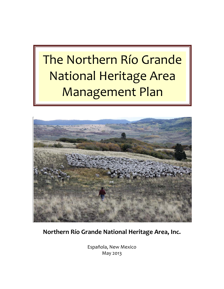# The Northern Río Grande National Heritage Area Management Plan



**Northern Río Grande National Heritage Area, Inc.**

Española, New Mexico May 2013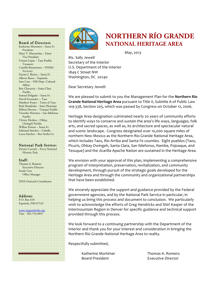

# **NORTHERN RÍO GRANDE**  Board of Directors **NATIONAL HERITAGE AREA**

May, 2013

Ms. Sally Jewell Secretary of the Interior U.S. Department of the Interior 1849 C Street NW Washington, DC 20240

Dear Secretary Jewell:

We are pleased to submit to you the Management Plan for the **Northern Río Grande National Heritage Area pursuant to Title II, Subtitle A of Public Law** 109-338, Section 205, which was passed by Congress on October 12, 2006.

Heritage Area designation culminated nearly 20 years of community efforts to identify ways to conserve and sustain the area's life ways, languages, folk arts, and sacred spaces, as well as, its architecture and spectacular natural and scenic landscape. Congress designated over 10,000 square miles of northern New Mexico as the Northern Rio Grande National Heritage Area, which includes Taos, Rio Arriba and Santa Fe counties. Eight pueblos (Taos, Picuris, Ohkay Owingeh, Santa Clara, San Ildefonso, Nambe, Pojoaque, and Tesuque) and the Jicarilla Apache Nation are sustained in the Heritage Area.

We envision with your approval of this plan, implementing a comprehensive program of interpretation, preservation, revitalization, and community development, through pursuit of the strategic goals developed for the Heritage Area and through the community and organizational partnerships that have been established.

We sincerely appreciate the support and guidance provided by the Federal government agencies, and by the National Park Service in particular, in helping us bring this process and document to conclusion. We particularly wish to acknowledge the efforts of Greg Hendricks and Shirl Kasper of the Intermountain Region in Denver for specific guidance and technical support provided through this process.

We look forward to a continuing partnership with the Department of the Interior and thank you for your interest and consideration in bringing the Northern Río Grande National Heritage Area to reality.

Respectfully submitted,

Katherine Mortimer **Thomas A.** Romero Board President **Executive Director** 

# Katherine Mortimer – Santa Fe

 President Mary T. Mascareñas – Llano Vice President Vernon Lujan – Taos Pueblo Treasurer Camilla Bustamante – NNMC Secretary Naomi J. Barnes – Santa Fe Alberto Baros – Española Sam Cata – NM Dept. Cultural Affairs Ben Chavarria – Santa Clara Pueblo Samuel Delgado – Santa Fe David Fernandez -- Taos Matthew Foster – Town of Taos Rick Hendricks – State Historian Milton Herrera – Tesuque Pueblo Timothy Martínez – San Ildefonso Pueblo Christy Medina – Ohkay Owingeh Pueblo Willow Powers – Santa Fe Edmund Sánchez – Cebolla Lucia Sánchez – Río Arriba Co

#### National Park Service:

Dennis Carruth – Pecos National Historic Park

#### Staff:

Thomas A. Romero Executive Director Sandy Cata Office Manager

NHA Outreach Coordinator

# Address:

P.O. Box 610 Española, NM 87532

www.riograndenha.org Tele: 505-753-0937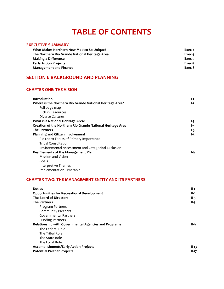# **TABLE OF CONTENTS**

### **EXECUTIVE SUMMARY**

| What Makes Northern New Mexico So Unique?      | Exec-2 |
|------------------------------------------------|--------|
| The Northern Río Grande National Heritage Area | Exec-3 |
| <b>Making a Difference</b>                     | Exec-5 |
| <b>Early Action Projects</b>                   | Exec-7 |
| <b>Management and Finance</b>                  | Exec-8 |

# **SECTION I: BACKGROUND AND PLANNING**

#### **CHAPTER ONE: THE VISION**

| Introduction                                               | I-1 |
|------------------------------------------------------------|-----|
| Where is the Northern Rio Grande National Heritage Area?   | I-1 |
| Full page map                                              |     |
| <b>Rich in Resources</b>                                   |     |
| Diverse Cultures                                           |     |
| What is a National Heritage Area?                          | I-3 |
| Creation of the Northern Rio Grande National Heritage Area | l-4 |
| <b>The Partners</b>                                        | I-5 |
| <b>Planning and Citizen Involvement</b>                    | I-5 |
| Pie chart: Topics of Primary Importance                    |     |
| Tribal Consultation                                        |     |
| Environmental Assessment and Categorical Exclusion         |     |
| Key Elements of the Management Plan                        | l-9 |
| Mission and Vision                                         |     |
| Goals                                                      |     |
| Interpretive Themes                                        |     |

Implementation Timetable

#### **CHAPTER TWO: THE MANAGEMENT ENTITY AND ITS PARTNERS**

| <b>Duties</b>                                        | $II-1$  |
|------------------------------------------------------|---------|
| <b>Opportunities for Recreational Development</b>    | $II-2$  |
| The Board of Directors                               | $II-5$  |
| <b>The Partners</b>                                  | $II-5$  |
| Program Partners                                     |         |
| <b>Community Partners</b>                            |         |
| <b>Governmental Partners</b>                         |         |
| <b>Funding Partners</b>                              |         |
| Relationship with Governmental Agencies and Programs | II-9    |
| The Federal Role                                     |         |
| The Tribal Role                                      |         |
| The State Role                                       |         |
| The Local Role                                       |         |
| <b>Accomplishments/Early Action Projects</b>         | $II-13$ |
| <b>Potential Partner Projects</b>                    | $II-17$ |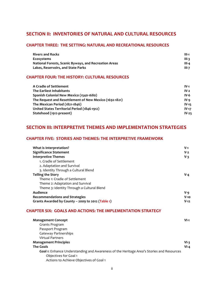## **SECTION II: INVENTORIES OF NATURAL AND CULTURAL RESOURCES**

### **CHAPTER THREE: THE SETTING: NATURAL AND RECREATIONAL RESOURCES**

| <b>Rivers and Rocks</b>                                      | III-1        |
|--------------------------------------------------------------|--------------|
| Ecosystems                                                   | $III-3$      |
| <b>National Forests, Scenic Byways, and Recreation Areas</b> | III-4        |
| Lakes, Reservoirs, and State Parks                           | <b>III-7</b> |

#### **CHAPTER FOUR: THE HISTORY: CULTURAL RESOURCES**

| A Cradle of Settlement                                 | $IV-1$  |
|--------------------------------------------------------|---------|
| The Earliest Inhabitants                               | $IV-2$  |
| Spanish Colonial New Mexico (1540-1680)                | IV-6    |
| The Request and Resettlement of New Mexico (1692-1821) | $IV-9$  |
| The Mexican Period (1821-1846)                         | $IV-15$ |
| United States Territorial Period (1846-1912)           | $IV-17$ |
| Statehood (1912-present)                               | $IV-25$ |

## **SECTION III: INTERPRETIVE THEMES AND IMPLEMENTATION STRATEGIES**

#### **CHAPTER FIVE: STORIES AND THEMES: THE INTERPRETIVE FRAMEWORK**

| What is Interpretation?                           | $V-1$   |
|---------------------------------------------------|---------|
| <b>Significance Statement</b>                     | $V-2$   |
| <b>Interpretive Themes</b>                        | $V-3$   |
| 1. Cradle of Settlement                           |         |
| 2. Adaptation and Survival                        |         |
| 3. Identity Through a Cultural Blend              |         |
| <b>Telling the Story</b>                          | V-4     |
| Theme 1: Cradle of Settlement                     |         |
| Theme 2: Adaptation and Survival                  |         |
| Theme 3: Identity Through a Cultural Blend        |         |
| Audience                                          | $V - Q$ |
| Recommendations and Strategies                    | $V-10$  |
| Grants Awarded by County - 2009 to 2012 (Table 1) | $V-12$  |

#### **CHAPTER SIX: GOALS AND ACTIONS: THE IMPLEMENTATION STRATEGY**

| <b>Management Concept</b>                                                                       | $VI-1$ |
|-------------------------------------------------------------------------------------------------|--------|
| Grants Program                                                                                  |        |
| Passport Program                                                                                |        |
| Gateway Partnerships                                                                            |        |
| Virtual Partners                                                                                |        |
| <b>Management Principles</b>                                                                    | $VI-3$ |
| <b>The Goals</b>                                                                                | $VI-4$ |
| <b>Goal 1:</b> Enhance Understanding and Awareness of the Heritage Area's Stories and Resources |        |
| Objectives for Goal 1                                                                           |        |
| Actions to Achieve Objectives of Goal 1                                                         |        |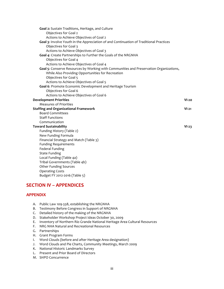| Goal 2: Sustain Traditions, Heritage, and Culture                                      |         |
|----------------------------------------------------------------------------------------|---------|
| Objectives for Goal 2                                                                  |         |
| Actions to Achieve Objectives of Goal 2                                                |         |
| Goal 3: Involve Youth in the Appreciation of and Continuation of Traditional Practices |         |
| Objectives for Goal 3                                                                  |         |
| Actions to Achieve Objectives of Goal 3                                                |         |
| Goal 4: Create Partnerships to Further the Goals of the NRGNHA                         |         |
| Objectives for Goal 4                                                                  |         |
| Actions to Achieve Objectives of Goal 4                                                |         |
| Goal 5: Conserve Resources by Working with Communities and Preservation Organizations, |         |
| While Also Providing Opportunities for Recreation                                      |         |
| Objectives for Goal 5                                                                  |         |
| Actions to Achieve Objectives of Goal 5                                                |         |
| Goal 6: Promote Economic Development and Heritage Tourism                              |         |
| Objectives for Goal 6                                                                  |         |
| Actions to Achieve Objectives of Goal 6                                                |         |
| <b>Development Priorities</b>                                                          | $VI-20$ |
| <b>Measures of Priorities</b>                                                          |         |
| <b>Staffing and Organizational Framework</b>                                           | $VI-21$ |
| <b>Board Committees</b>                                                                |         |
| <b>Staff Functions</b>                                                                 |         |
| Communication                                                                          |         |
| <b>Toward Sustainability</b>                                                           | $VI-23$ |
| Funding History (Table 2)                                                              |         |
| New Funding Formula                                                                    |         |
| Financial Strategy and Match (Table 3)                                                 |         |
| <b>Funding Requirements</b>                                                            |         |
| <b>Federal Funding</b>                                                                 |         |
| <b>State Funding</b>                                                                   |         |
| Local Funding (Table 4a)                                                               |         |
| Tribal Governments (Table 4b)                                                          |         |
| <b>Other Funding Sources</b>                                                           |         |
| <b>Operating Costs</b>                                                                 |         |
| Budget FY 2012-2016 (Table 5)                                                          |         |

# **SECTION IV – APPENDICES**

#### **APPENDIX**

- A. Public Law 109-338, establishing the NRGNHA
- B. Testimony Before Congress in Support of NRGNHA
- C. Detailed history of the making of the NRGNHA
- D. Stakeholder Workshop Project Ideas October 30, 2009
- E. Inventory of Northern Río Grande National Heritage Area Cultural Resources
- F. NRG NHA Natural and Recreational Resources
- G. Partnerships
- H. Grant Program Forms
- I. Word Clouds (before and after Heritage Area designation)
- J. Word Clouds and Pie Charts, Community Meetings, March 2009
- K. National Historic Landmarks Survey
- L. Present and Prior Board of Directors
- M. SHPO Concurrence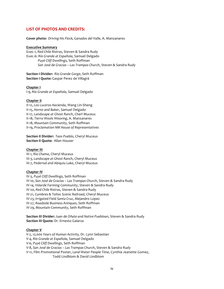#### **LIST OF PHOTOS AND CREDITS:**

**Cover photo:** *Driving His Flock, Ganados del Valle, A. Manzanares* 

#### **Executive Summary**

Exec-1, Red Chile Ristras, Steven & Sandra Rudy Exec-6: *Río Grande at Española*, Samuel Delgado *Puyé Cliff Dwellings*, Seth Roffman San José de Gracias – Las Trampas Church, Steven & Sandra Rudy

**Section I Divider:** Río Grande Gorge, Seth Roffman Section I Quote: Gaspar Perez de Villagrá

#### **Chapter I**

I-9, *Río Grande at Española*, Samuel Delgado

#### **Chapter II**

II-12, Los Luceros Hacienda, Wang Lin-Sheng II-15, *Horno and Baker*, Samuel Delgado II-17, Landscape at Ghost Ranch, Cherl Muceus II-18, Tierra Wools Weaving, A. Manzanares II-18, *Mountain Community,* Seth Roffman II-19, *Proclamation NM House of Representatives*

**Section II Divider: Taos Pueblo, Cheryl Muceus Section II Quote: Allan Houser** 

#### **Chapter III**

III-1, Río Chama, Cheryl Muceus III-3, Landscape at Ghost Ranch, Cheryl Muceus III-7, Pedernal and Abiquiu Lake, Cheryl Muceus

#### **Chapter IV**

IV-3, Puyé Cliff Dwellings, Seth Roffman IV-10, San José de Gracias – Las Trampas Church, Steven & Sandra Rudy IV-14, Velarde Farming Community, Steven & Sandra Rudy IV-20, Red Chile Ristras, Steven & Sandra Rudy IV-21, Cumbres & Toltec Scenic Railroad, Cheryl Muceus IV-23, *Irrigated Field Santa Cruz*, Alejandro Lopez IV-27, Roadside Business Antiques, Seth Roffman IV-29, Mountain Community, Seth Roffman

**Section III Divider:** *Juan de Oñate and Native Puebloan, Steven & Sandra Rudy* **Section III Quote: Dr. Ernesto Galarza** 

#### **Chapter V**

V-2, 12,000 Years of Human Activity, Dr. Lynn Sebastian V-4, *Río Grande at Española*, Samuel Delgado V-6, *Puyé Cliff Dwellings*, Seth Roffman V-8, San José de Gracias – Las Trampas Church, Steven & Sandra Rudy V-11, Film Promotional Poster, Land Water People Time, Cynthia Jeanette Gomez, Todd Lindblom & David Lindblom